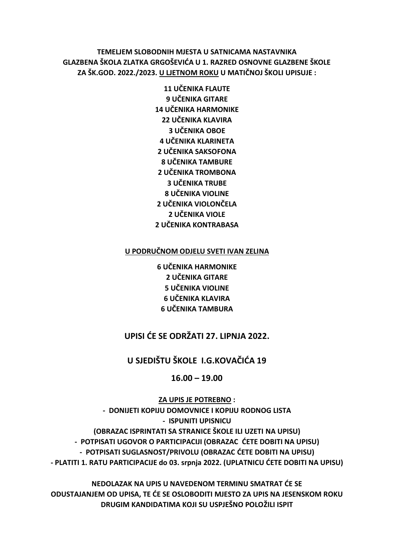## TEMELJEM SLOBODNIH MJESTA U SATNICAMA NASTAVNIKA GLAZBENA ŠKOLA ZLATKA GRGOŠEVIĆA U 1. RAZRED OSNOVNE GLAZBENE ŠKOLE ZA ŠK.GOD. 2022./2023. U LJETNOM ROKU U MATIČNOJ ŠKOLI UPISUJE:

**11 UČENIKA FLAUTE** 9 UČENIKA GITARE **14 UČENIKA HARMONIKE 22 UČENIKA KLAVIRA 3 UČENIKA OBOF 4 UČENIKA KLARINETA 2 UČENIKA SAKSOFONA 8 UČENIKA TAMBURE 2 UČENIKA TROMBONA 3 UČENIKA TRUBE** 8 UČENIKA VIOLINE 2 UČENIKA VIOLONČELA 2 UČENIKA VIOLE **2 UČENIKA KONTRABASA** 

#### U PODRUČNOM ODJELU SVETI IVAN ZELINA

**6 UČENIKA HARMONIKE** 2 UČENIKA GITARE **5 UČENIKA VIOLINE 6 UČENIKA KLAVIRA 6 UČENIKA TAMBURA** 

# UPISI ĆE SE ODRŽATI 27. LIPNJA 2022.

## U SJEDIŠTU ŠKOLE I.G.KOVAČIĆA 19

#### $16.00 - 19.00$

**ZA UPIS JE POTREBNO:** - DONIJETI KOPIJU DOMOVNICE I KOPIJU RODNOG LISTA - ISPUNITI UPISNICU (OBRAZAC ISPRINTATI SA STRANICE ŠKOLE ILI UZETI NA UPISU) - POTPISATI UGOVOR O PARTICIPACIJI (OBRAZAC ĆETE DOBITI NA UPISU) - POTPISATI SUGLASNOST/PRIVOLU (OBRAZAC ĆETE DOBITI NA UPISU) - PLATITI 1. RATU PARTICIPACIJE do 03. srpnja 2022. (UPLATNICU ĆETE DOBITI NA UPISU)

NEDOLAZAK NA UPIS U NAVEDENOM TERMINU SMATRAT ĆE SE ODUSTAJANJEM OD UPISA, TE ĆE SE OSLOBODITI MJESTO ZA UPIS NA JESENSKOM ROKU DRUGIM KANDIDATIMA KOJI SU USPJEŠNO POLOŽILI ISPIT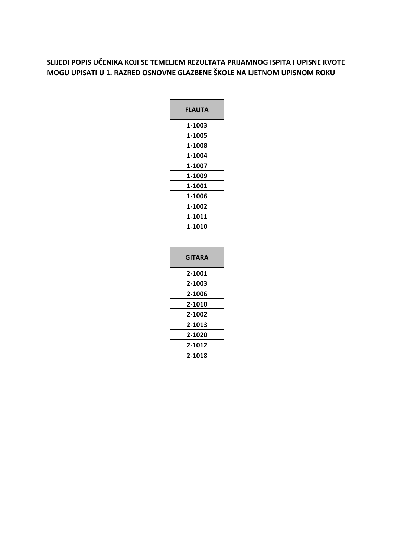## **SLIJEDI POPIS UČENIKA KOJI SE TEMELJEM REZULTATA PRIJAMNOG ISPITA I UPISNE KVOTE MOGU UPISATI U 1. RAZRED OSNOVNE GLAZBENE ŠKOLE NA LJETNOM UPISNOM ROKU**

| FLAUTA |  |
|--------|--|
| 1-1003 |  |
| 1-1005 |  |
| 1-1008 |  |
| 1-1004 |  |
| 1-1007 |  |
| 1-1009 |  |
| 1-1001 |  |
| 1-1006 |  |
| 1-1002 |  |
| 1-1011 |  |
| 1-1010 |  |
|        |  |

| <b>GITARA</b> |
|---------------|
| 2-1001        |
| 2-1003        |
| 2-1006        |
| 2-1010        |
| 2-1002        |
| 2-1013        |
| 2-1020        |
| 2-1012        |
| 2-1018        |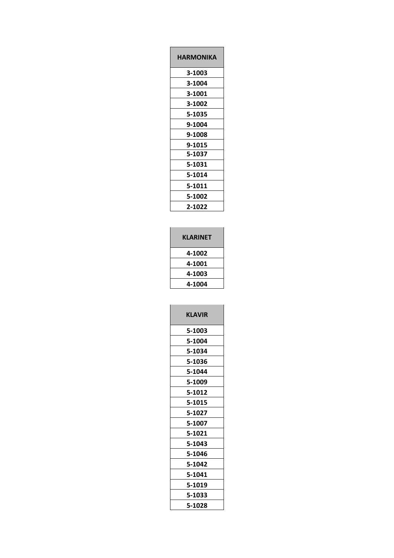| HARMONIKA |
|-----------|
| 3-1003    |
| 3-1004    |
| 3-1001    |
| 3-1002    |
| 5-1035    |
| 9-1004    |
| 9-1008    |
| 9-1015    |
| 5-1037    |
| 5-1031    |
| 5-1014    |
| 5-1011    |
| 5-1002    |
| 2-1022    |

| <b>KLARINET</b> |  |
|-----------------|--|
| 4-1002          |  |
| 4-1001          |  |
| 4-1003          |  |
| 4-1004          |  |
|                 |  |

| <b>KLAVIR</b> |
|---------------|
| 5-1003        |
| 5-1004        |
| 5-1034        |
| 5-1036        |
| 5-1044        |
| 5-1009        |
| 5-1012        |
| 5-1015        |
| 5-1027        |
| 5-1007        |
| 5-1021        |
| 5-1043        |
| 5-1046        |
| 5-1042        |
| 5-1041        |
| 5-1019        |
| 5-1033        |
| 5-1028        |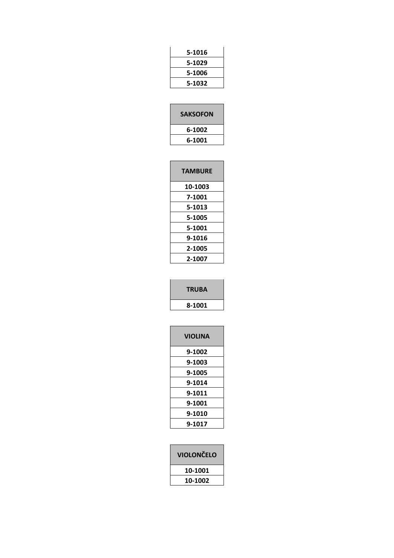| 5-1016 |  |
|--------|--|
| 5-1029 |  |
| 5-1006 |  |
| 5-1032 |  |
|        |  |

| <b>SAKSOFON</b> |
|-----------------|
| 6-1002          |
| 6-1001          |

| <b>TAMBURE</b> |
|----------------|
| 10-1003        |
| 7-1001         |
| 5-1013         |
| 5-1005         |
| 5-1001         |
| 9-1016         |
| 2-1005         |
| 2-1007         |

| <b>TRUBA</b> |
|--------------|
| 8-1001       |

| <b>VIOLINA</b> |  |
|----------------|--|
| 9-1002         |  |
| 9-1003         |  |
| 9-1005         |  |
| 9-1014         |  |
| 9-1011         |  |
| 9-1001         |  |
| 9-1010         |  |
| 9-1017         |  |
|                |  |

| <b>VIOLONČELO</b> |
|-------------------|
| 10-1001           |
| 10-1002           |